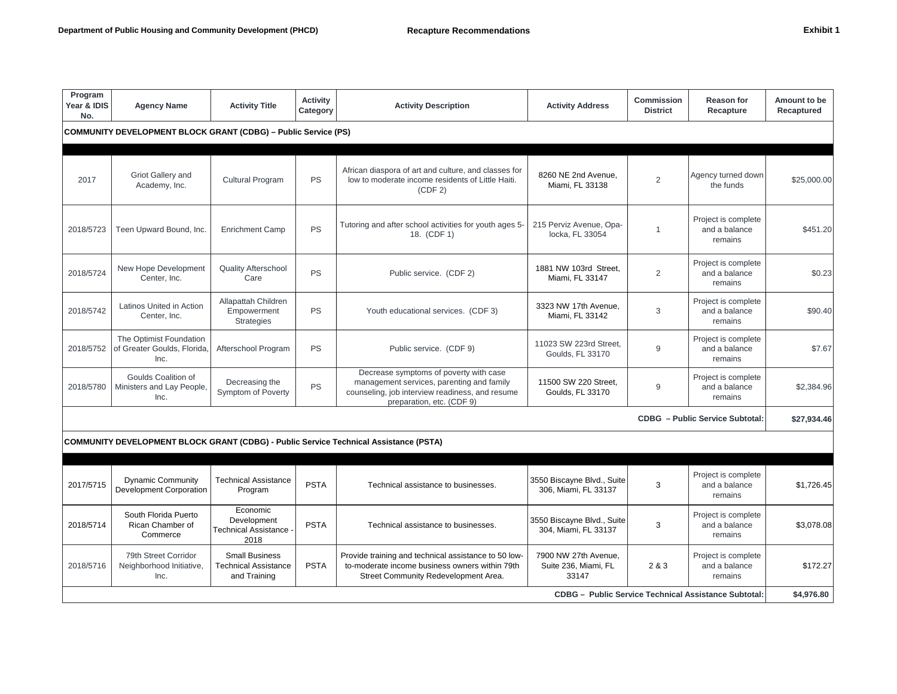| ːxhibit |  |
|---------|--|
|---------|--|

| Program<br>Year & IDIS<br>No.                                         | <b>Agency Name</b>                                             | <b>Activity Title</b>                                                | <b>Activity</b><br>Category | <b>Activity Description</b>                                                                                                                                         | <b>Activity Address</b>                               | <b>Commission</b><br><b>District</b> | <b>Reason for</b><br>Recapture                  | Amount to be<br>Recaptured |  |
|-----------------------------------------------------------------------|----------------------------------------------------------------|----------------------------------------------------------------------|-----------------------------|---------------------------------------------------------------------------------------------------------------------------------------------------------------------|-------------------------------------------------------|--------------------------------------|-------------------------------------------------|----------------------------|--|
| <b>COMMUNITY DEVELOPMENT BLOCK GRANT (CDBG) - Public Service (PS)</b> |                                                                |                                                                      |                             |                                                                                                                                                                     |                                                       |                                      |                                                 |                            |  |
| 2017                                                                  | Griot Gallery and<br>Academy, Inc.                             | <b>Cultural Program</b>                                              | PS                          | African diaspora of art and culture, and classes for<br>low to moderate income residents of Little Haiti.<br>(CDF 2)                                                | 8260 NE 2nd Avenue.<br>Miami, FL 33138                | $\overline{2}$                       | Agency turned down<br>the funds                 | \$25,000.00                |  |
| 2018/5723                                                             | Teen Upward Bound, Inc.                                        | <b>Enrichment Camp</b>                                               | PS                          | Tutoring and after school activities for youth ages 5-<br>18. (CDF 1)                                                                                               | 215 Perviz Avenue, Opa-<br>locka, FL 33054            | $\overline{1}$                       | Project is complete<br>and a balance<br>remains | \$451.20                   |  |
| 2018/5724                                                             | New Hope Development<br>Center, Inc.                           | <b>Quality Afterschool</b><br>Care                                   | PS                          | Public service. (CDF 2)                                                                                                                                             | 1881 NW 103rd Street,<br>Miami, FL 33147              | $\overline{2}$                       | Project is complete<br>and a balance<br>remains | \$0.23                     |  |
| 2018/5742                                                             | Latinos United in Action<br>Center, Inc.                       | Allapattah Children<br>Empowerment<br><b>Strategies</b>              | PS                          | Youth educational services. (CDF 3)                                                                                                                                 | 3323 NW 17th Avenue,<br>Miami, FL 33142               | 3                                    | Project is complete<br>and a balance<br>remains | \$90.40                    |  |
| 2018/5752                                                             | The Optimist Foundation<br>of Greater Goulds, Florida,<br>Inc. | Afterschool Program                                                  | PS                          | Public service. (CDF 9)                                                                                                                                             | 11023 SW 223rd Street,<br>Goulds, FL 33170            | 9                                    | Project is complete<br>and a balance<br>remains | \$7.67                     |  |
| 2018/5780                                                             | Goulds Coalition of<br>Ministers and Lay People,<br>Inc.       | Decreasing the<br>Symptom of Poverty                                 | PS                          | Decrease symptoms of poverty with case<br>management services, parenting and family<br>counseling, job interview readiness, and resume<br>preparation, etc. (CDF 9) | 11500 SW 220 Street.<br>Goulds, FL 33170              | 9                                    | Project is complete<br>and a balance<br>remains | \$2,384.96                 |  |
|                                                                       |                                                                |                                                                      |                             |                                                                                                                                                                     |                                                       |                                      | <b>CDBG</b> - Public Service Subtotal:          | \$27,934.46                |  |
|                                                                       |                                                                |                                                                      |                             | <b>COMMUNITY DEVELOPMENT BLOCK GRANT (CDBG) - Public Service Technical Assistance (PSTA)</b>                                                                        |                                                       |                                      |                                                 |                            |  |
|                                                                       |                                                                |                                                                      |                             |                                                                                                                                                                     |                                                       |                                      |                                                 |                            |  |
| 2017/5715                                                             | <b>Dynamic Community</b><br>Development Corporation            | <b>Technical Assistance</b><br>Program                               | <b>PSTA</b>                 | Technical assistance to businesses.                                                                                                                                 | 3550 Biscayne Blvd., Suite<br>306, Miami, FL 33137    | 3                                    | Project is complete<br>and a balance<br>remains | \$1,726.45                 |  |
| 2018/5714                                                             | South Florida Puerto<br>Rican Chamber of<br>Commerce           | Economic<br>Development<br>Technical Assistance<br>2018              | <b>PSTA</b>                 | Technical assistance to businesses.                                                                                                                                 | 3550 Biscayne Blvd., Suite<br>304, Miami, FL 33137    | 3                                    | Project is complete<br>and a balance<br>remains | \$3,078.08                 |  |
| 2018/5716                                                             | 79th Street Corridor<br>Neighborhood Initiative,<br>Inc.       | <b>Small Business</b><br><b>Technical Assistance</b><br>and Training | <b>PSTA</b>                 | Provide training and technical assistance to 50 low-<br>to-moderate income business owners within 79th<br>Street Community Redevelopment Area.                      | 7900 NW 27th Avenue.<br>Suite 236, Miami, FL<br>33147 | 2 & 3                                | Project is complete<br>and a balance<br>remains | \$172.27                   |  |
| <b>CDBG - Public Service Technical Assistance Subtotal:</b>           |                                                                |                                                                      |                             |                                                                                                                                                                     |                                                       |                                      |                                                 |                            |  |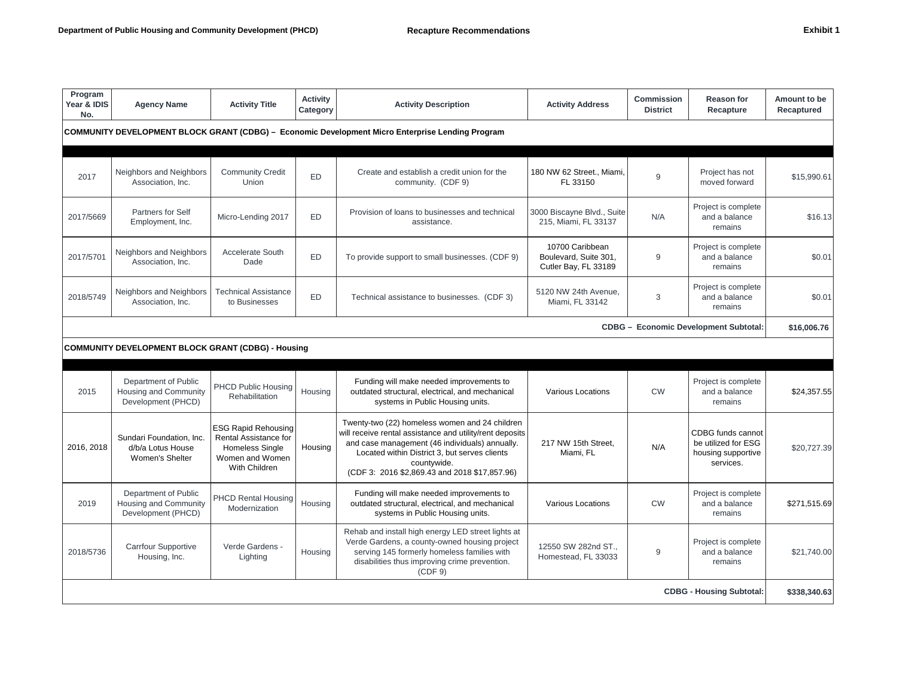| rhibit |  |  |
|--------|--|--|
|        |  |  |

| Program<br>Year & IDIS<br>No.                                                                    | <b>Agency Name</b>                                                  | <b>Activity Title</b>                                                                                             | <b>Activity</b><br>Category | <b>Activity Description</b>                                                                                                                                                                                                                                                   | <b>Activity Address</b>                                          | <b>Commission</b><br><b>District</b> | Reason for<br>Recapture                                                     | Amount to be<br>Recaptured |
|--------------------------------------------------------------------------------------------------|---------------------------------------------------------------------|-------------------------------------------------------------------------------------------------------------------|-----------------------------|-------------------------------------------------------------------------------------------------------------------------------------------------------------------------------------------------------------------------------------------------------------------------------|------------------------------------------------------------------|--------------------------------------|-----------------------------------------------------------------------------|----------------------------|
| COMMUNITY DEVELOPMENT BLOCK GRANT (CDBG) - Economic Development Micro Enterprise Lending Program |                                                                     |                                                                                                                   |                             |                                                                                                                                                                                                                                                                               |                                                                  |                                      |                                                                             |                            |
| 2017                                                                                             | Neighbors and Neighbors<br>Association, Inc.                        | <b>Community Credit</b><br>Union                                                                                  | <b>ED</b>                   | Create and establish a credit union for the<br>community. (CDF 9)                                                                                                                                                                                                             | 180 NW 62 Street., Miami.<br>FL 33150                            | 9                                    | Project has not<br>moved forward                                            | \$15.990.61                |
| 2017/5669                                                                                        | Partners for Self<br>Employment, Inc.                               | Micro-Lending 2017                                                                                                | ED                          | Provision of loans to businesses and technical<br>assistance.                                                                                                                                                                                                                 | 3000 Biscayne Blvd., Suite<br>215, Miami, FL 33137               | N/A                                  | Project is complete<br>and a balance<br>remains                             | \$16.13                    |
| 2017/5701                                                                                        | Neighbors and Neighbors<br>Association, Inc.                        | Accelerate South<br>Dade                                                                                          | <b>ED</b>                   | To provide support to small businesses. (CDF 9)                                                                                                                                                                                                                               | 10700 Caribbean<br>Boulevard, Suite 301,<br>Cutler Bay, FL 33189 | 9                                    | Project is complete<br>and a balance<br>remains                             | \$0.01                     |
| 2018/5749                                                                                        | Neighbors and Neighbors<br>Association, Inc.                        | <b>Technical Assistance</b><br>to Businesses                                                                      | <b>ED</b>                   | Technical assistance to businesses. (CDF 3)                                                                                                                                                                                                                                   | 5120 NW 24th Avenue.<br>Miami, FL 33142                          | 3                                    | Project is complete<br>and a balance<br>remains                             | \$0.01                     |
|                                                                                                  |                                                                     |                                                                                                                   |                             |                                                                                                                                                                                                                                                                               |                                                                  |                                      | <b>CDBG - Economic Development Subtotal:</b>                                | \$16,006.76                |
|                                                                                                  | <b>COMMUNITY DEVELOPMENT BLOCK GRANT (CDBG) - Housing</b>           |                                                                                                                   |                             |                                                                                                                                                                                                                                                                               |                                                                  |                                      |                                                                             |                            |
| 2015                                                                                             | Department of Public<br>Housing and Community<br>Development (PHCD) | <b>PHCD Public Housing</b><br><b>Rehabilitation</b>                                                               | Housing                     | Funding will make needed improvements to<br>outdated structural, electrical, and mechanical<br>systems in Public Housing units.                                                                                                                                               | <b>Various Locations</b>                                         | <b>CW</b>                            | Project is complete<br>and a balance<br>remains                             | \$24,357.55                |
| 2016, 2018                                                                                       | Sundari Foundation, Inc.<br>d/b/a Lotus House<br>Women's Shelter    | <b>ESG Rapid Rehousing</b><br>Rental Assistance for<br><b>Homeless Single</b><br>Women and Women<br>With Children | Housing                     | Twenty-two (22) homeless women and 24 children<br>will receive rental assistance and utility/rent deposits<br>and case management (46 individuals) annually.<br>Located within District 3, but serves clients<br>countywide.<br>(CDF 3: 2016 \$2,869.43 and 2018 \$17,857.96) | 217 NW 15th Street,<br>Miami. FL                                 | N/A                                  | CDBG funds cannot<br>be utilized for ESG<br>housing supportive<br>services. | \$20,727.39                |
| 2019                                                                                             | Department of Public<br>Housing and Community<br>Development (PHCD) | <b>PHCD Rental Housing</b><br>Modernization                                                                       | Housing                     | Funding will make needed improvements to<br>outdated structural, electrical, and mechanical<br>systems in Public Housing units.                                                                                                                                               | <b>Various Locations</b>                                         | <b>CW</b>                            | Project is complete<br>and a balance<br>remains                             | \$271.515.69               |
| 2018/5736                                                                                        | Carrfour Supportive<br>Housing, Inc.                                | Verde Gardens -<br>Lighting                                                                                       | Housing                     | Rehab and install high energy LED street lights at<br>Verde Gardens, a county-owned housing project<br>serving 145 formerly homeless families with<br>disabilities thus improving crime prevention.<br>(CDF 9)                                                                | 12550 SW 282nd ST<br>Homestead, FL 33033                         | 9                                    | Project is complete<br>and a balance<br>remains                             | \$21,740.00                |
| <b>CDBG - Housing Subtotal:</b>                                                                  |                                                                     |                                                                                                                   |                             |                                                                                                                                                                                                                                                                               |                                                                  |                                      |                                                                             | \$338,340.63               |